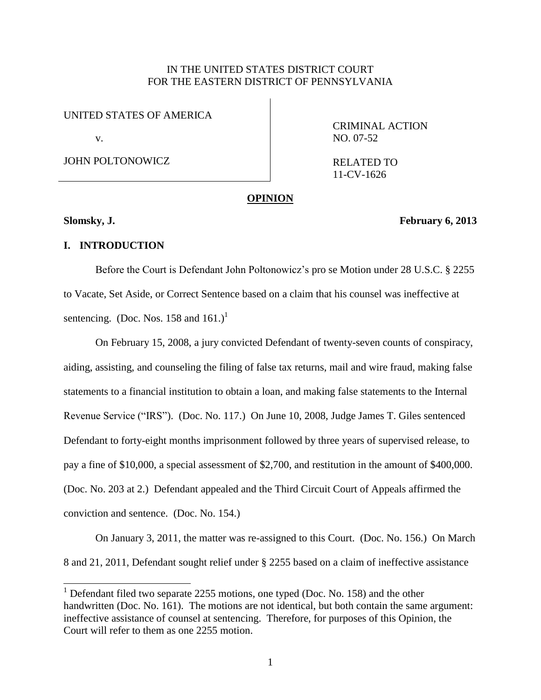# IN THE UNITED STATES DISTRICT COURT FOR THE EASTERN DISTRICT OF PENNSYLVANIA

UNITED STATES OF AMERICA

v.

JOHN POLTONOWICZ

CRIMINAL ACTION NO. 07-52

RELATED TO 11-CV-1626

#### **OPINION**

 $\overline{a}$ 

**Slomsky, J. February 6, 2013**

### **I. INTRODUCTION**

Before the Court is Defendant John Poltonowicz's pro se Motion under 28 U.S.C. § 2255 to Vacate, Set Aside, or Correct Sentence based on a claim that his counsel was ineffective at sentencing. (Doc. Nos. 158 and  $161$ .)<sup>1</sup>

On February 15, 2008, a jury convicted Defendant of twenty-seven counts of conspiracy, aiding, assisting, and counseling the filing of false tax returns, mail and wire fraud, making false statements to a financial institution to obtain a loan, and making false statements to the Internal Revenue Service ("IRS"). (Doc. No. 117.) On June 10, 2008, Judge James T. Giles sentenced Defendant to forty-eight months imprisonment followed by three years of supervised release, to pay a fine of \$10,000, a special assessment of \$2,700, and restitution in the amount of \$400,000. (Doc. No. 203 at 2.) Defendant appealed and the Third Circuit Court of Appeals affirmed the conviction and sentence. (Doc. No. 154.)

On January 3, 2011, the matter was re-assigned to this Court. (Doc. No. 156.) On March 8 and 21, 2011, Defendant sought relief under § 2255 based on a claim of ineffective assistance

<sup>&</sup>lt;sup>1</sup> Defendant filed two separate 2255 motions, one typed (Doc. No. 158) and the other handwritten (Doc. No. 161). The motions are not identical, but both contain the same argument: ineffective assistance of counsel at sentencing. Therefore, for purposes of this Opinion, the Court will refer to them as one 2255 motion.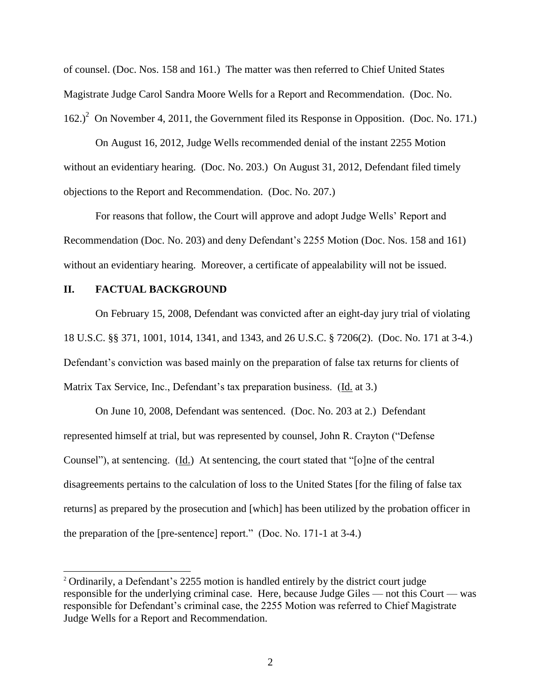of counsel. (Doc. Nos. 158 and 161.) The matter was then referred to Chief United States Magistrate Judge Carol Sandra Moore Wells for a Report and Recommendation. (Doc. No.  $162.<sup>2</sup>$  On November 4, 2011, the Government filed its Response in Opposition. (Doc. No. 171.)

On August 16, 2012, Judge Wells recommended denial of the instant 2255 Motion without an evidentiary hearing. (Doc. No. 203.) On August 31, 2012, Defendant filed timely objections to the Report and Recommendation. (Doc. No. 207.)

For reasons that follow, the Court will approve and adopt Judge Wells' Report and Recommendation (Doc. No. 203) and deny Defendant's 2255 Motion (Doc. Nos. 158 and 161) without an evidentiary hearing. Moreover, a certificate of appealability will not be issued.

## **II. FACTUAL BACKGROUND**

 $\overline{a}$ 

On February 15, 2008, Defendant was convicted after an eight-day jury trial of violating 18 U.S.C. §§ 371, 1001, 1014, 1341, and 1343, and 26 U.S.C. § 7206(2). (Doc. No. 171 at 3-4.) Defendant's conviction was based mainly on the preparation of false tax returns for clients of Matrix Tax Service, Inc., Defendant's tax preparation business. (Id. at 3.)

On June 10, 2008, Defendant was sentenced. (Doc. No. 203 at 2.) Defendant represented himself at trial, but was represented by counsel, John R. Crayton ("Defense Counsel"), at sentencing. (Id.) At sentencing, the court stated that "[o]ne of the central disagreements pertains to the calculation of loss to the United States [for the filing of false tax returns] as prepared by the prosecution and [which] has been utilized by the probation officer in the preparation of the [pre-sentence] report." (Doc. No. 171-1 at 3-4.)

<sup>&</sup>lt;sup>2</sup> Ordinarily, a Defendant's 2255 motion is handled entirely by the district court judge responsible for the underlying criminal case. Here, because Judge Giles — not this Court — was responsible for Defendant's criminal case, the 2255 Motion was referred to Chief Magistrate Judge Wells for a Report and Recommendation.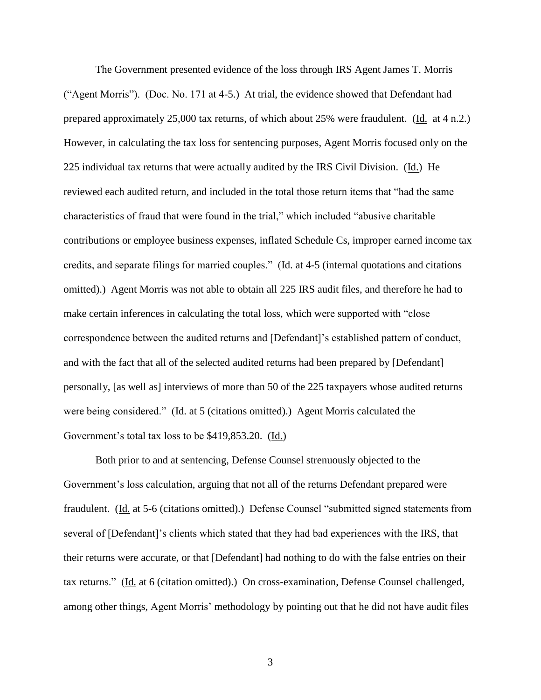The Government presented evidence of the loss through IRS Agent James T. Morris ("Agent Morris"). (Doc. No. 171 at 4-5.) At trial, the evidence showed that Defendant had prepared approximately 25,000 tax returns, of which about 25% were fraudulent. (Id. at 4 n.2.) However, in calculating the tax loss for sentencing purposes, Agent Morris focused only on the 225 individual tax returns that were actually audited by the IRS Civil Division. (Id.) He reviewed each audited return, and included in the total those return items that "had the same characteristics of fraud that were found in the trial," which included "abusive charitable contributions or employee business expenses, inflated Schedule Cs, improper earned income tax credits, and separate filings for married couples." (Id. at 4-5 (internal quotations and citations omitted).) Agent Morris was not able to obtain all 225 IRS audit files, and therefore he had to make certain inferences in calculating the total loss, which were supported with "close correspondence between the audited returns and [Defendant]'s established pattern of conduct, and with the fact that all of the selected audited returns had been prepared by [Defendant] personally, [as well as] interviews of more than 50 of the 225 taxpayers whose audited returns were being considered." (Id. at 5 (citations omitted).) Agent Morris calculated the Government's total tax loss to be \$419,853.20. (Id.)

Both prior to and at sentencing, Defense Counsel strenuously objected to the Government's loss calculation, arguing that not all of the returns Defendant prepared were fraudulent. (Id. at 5-6 (citations omitted).) Defense Counsel "submitted signed statements from several of [Defendant]'s clients which stated that they had bad experiences with the IRS, that their returns were accurate, or that [Defendant] had nothing to do with the false entries on their tax returns." (Id. at 6 (citation omitted).) On cross-examination, Defense Counsel challenged, among other things, Agent Morris' methodology by pointing out that he did not have audit files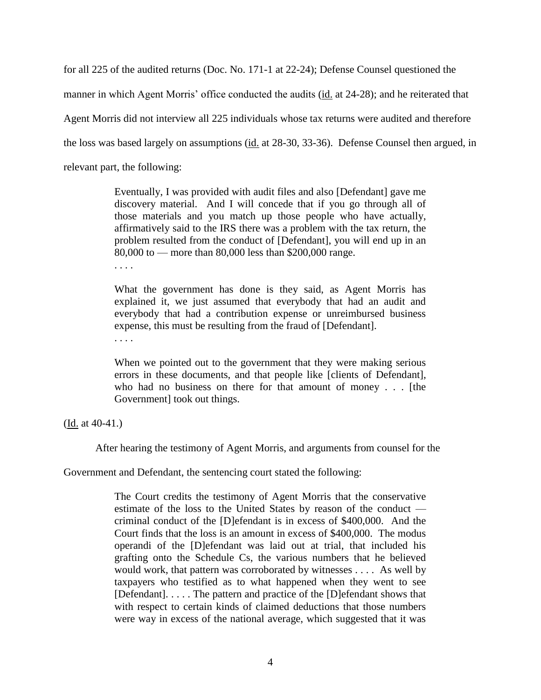for all 225 of the audited returns (Doc. No. 171-1 at 22-24); Defense Counsel questioned the

manner in which Agent Morris' office conducted the audits (id. at 24-28); and he reiterated that

Agent Morris did not interview all 225 individuals whose tax returns were audited and therefore

the loss was based largely on assumptions (id. at 28-30, 33-36). Defense Counsel then argued, in

relevant part, the following:

Eventually, I was provided with audit files and also [Defendant] gave me discovery material. And I will concede that if you go through all of those materials and you match up those people who have actually, affirmatively said to the IRS there was a problem with the tax return, the problem resulted from the conduct of [Defendant], you will end up in an 80,000 to — more than 80,000 less than \$200,000 range.

. . . .

What the government has done is they said, as Agent Morris has explained it, we just assumed that everybody that had an audit and everybody that had a contribution expense or unreimbursed business expense, this must be resulting from the fraud of [Defendant].

. . . .

When we pointed out to the government that they were making serious errors in these documents, and that people like [clients of Defendant], who had no business on there for that amount of money . . . [the Government] took out things.

(Id. at 40-41.)

After hearing the testimony of Agent Morris, and arguments from counsel for the

Government and Defendant, the sentencing court stated the following:

The Court credits the testimony of Agent Morris that the conservative estimate of the loss to the United States by reason of the conduct criminal conduct of the [D]efendant is in excess of \$400,000. And the Court finds that the loss is an amount in excess of \$400,000. The modus operandi of the [D]efendant was laid out at trial, that included his grafting onto the Schedule Cs, the various numbers that he believed would work, that pattern was corroborated by witnesses . . . . As well by taxpayers who testified as to what happened when they went to see [Defendant]. . . . . The pattern and practice of the [D]efendant shows that with respect to certain kinds of claimed deductions that those numbers were way in excess of the national average, which suggested that it was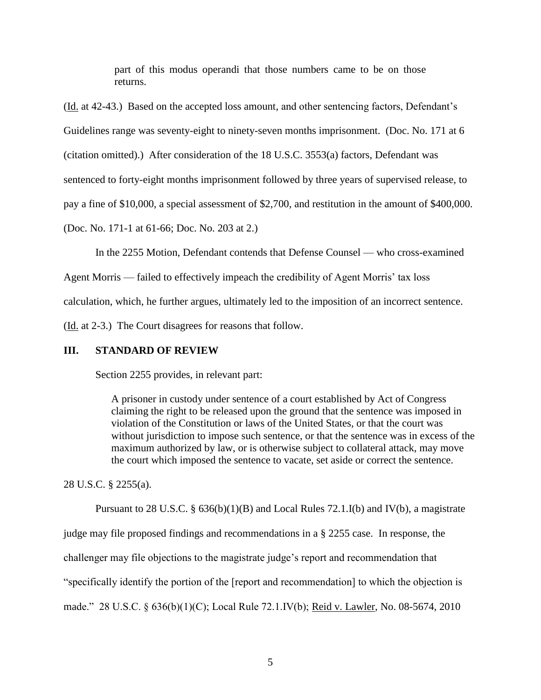part of this modus operandi that those numbers came to be on those returns.

(Id. at 42-43.) Based on the accepted loss amount, and other sentencing factors, Defendant's

Guidelines range was seventy-eight to ninety-seven months imprisonment. (Doc. No. 171 at 6

(citation omitted).) After consideration of the 18 U.S.C. 3553(a) factors, Defendant was

sentenced to forty-eight months imprisonment followed by three years of supervised release, to

pay a fine of \$10,000, a special assessment of \$2,700, and restitution in the amount of \$400,000.

(Doc. No. 171-1 at 61-66; Doc. No. 203 at 2.)

In the 2255 Motion, Defendant contends that Defense Counsel — who cross-examined

Agent Morris — failed to effectively impeach the credibility of Agent Morris' tax loss

calculation, which, he further argues, ultimately led to the imposition of an incorrect sentence.

(Id. at 2-3.) The Court disagrees for reasons that follow.

# **III. STANDARD OF REVIEW**

Section 2255 provides, in relevant part:

A prisoner in custody under sentence of a court established by Act of Congress claiming the right to be released upon the ground that the sentence was imposed in violation of the Constitution or laws of the United States, or that the court was without jurisdiction to impose such sentence, or that the sentence was in excess of the maximum authorized by law, or is otherwise subject to collateral attack, may move the court which imposed the sentence to vacate, set aside or correct the sentence.

28 U.S.C. § 2255(a).

Pursuant to 28 U.S.C. §  $636(b)(1)(B)$  and Local Rules 72.1.I(b) and IV(b), a magistrate

judge may file proposed findings and recommendations in a § 2255 case. In response, the

challenger may file objections to the magistrate judge's report and recommendation that

"specifically identify the portion of the [report and recommendation] to which the objection is

made." 28 U.S.C. § 636(b)(1)(C); Local Rule 72.1.IV(b); Reid v. Lawler, No. 08-5674, 2010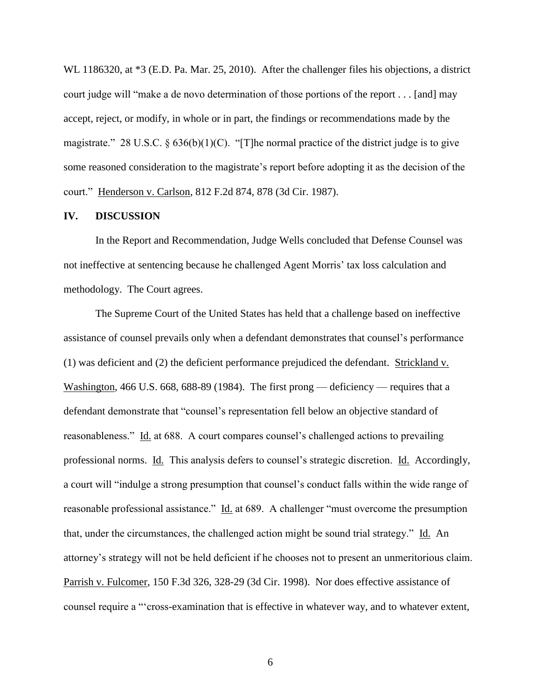WL 1186320, at \*3 (E.D. Pa. Mar. 25, 2010). After the challenger files his objections, a district court judge will "make a de novo determination of those portions of the report . . . [and] may accept, reject, or modify, in whole or in part, the findings or recommendations made by the magistrate." 28 U.S.C.  $\S 636(b)(1)(C)$ . "[T]he normal practice of the district judge is to give some reasoned consideration to the magistrate's report before adopting it as the decision of the court." Henderson v. Carlson, 812 F.2d 874, 878 (3d Cir. 1987).

### **IV. DISCUSSION**

In the Report and Recommendation, Judge Wells concluded that Defense Counsel was not ineffective at sentencing because he challenged Agent Morris' tax loss calculation and methodology. The Court agrees.

The Supreme Court of the United States has held that a challenge based on ineffective assistance of counsel prevails only when a defendant demonstrates that counsel's performance (1) was deficient and (2) the deficient performance prejudiced the defendant. Strickland v. Washington, 466 U.S. 668, 688-89 (1984). The first prong — deficiency — requires that a defendant demonstrate that "counsel's representation fell below an objective standard of reasonableness." Id. at 688. A court compares counsel's challenged actions to prevailing professional norms. Id. This analysis defers to counsel's strategic discretion. Id. Accordingly, a court will "indulge a strong presumption that counsel's conduct falls within the wide range of reasonable professional assistance." Id. at 689. A challenger "must overcome the presumption that, under the circumstances, the challenged action might be sound trial strategy." Id. An attorney's strategy will not be held deficient if he chooses not to present an unmeritorious claim. Parrish v. Fulcomer, 150 F.3d 326, 328-29 (3d Cir. 1998). Nor does effective assistance of counsel require a "'cross-examination that is effective in whatever way, and to whatever extent,

6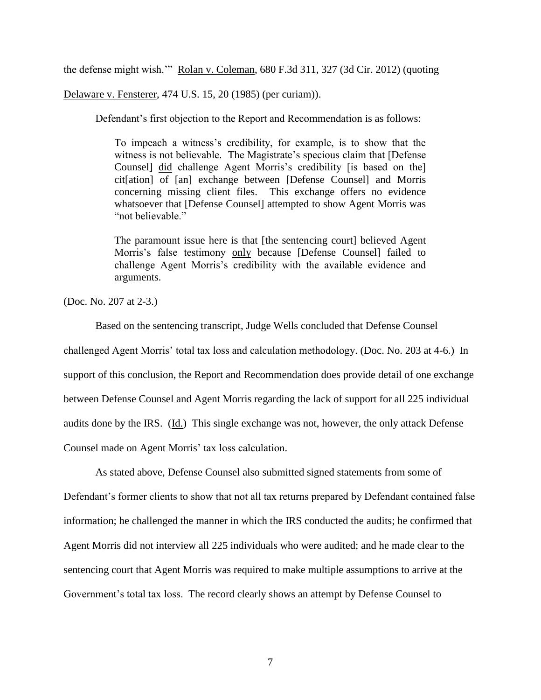the defense might wish.'" Rolan v. Coleman, 680 F.3d 311, 327 (3d Cir. 2012) (quoting

Delaware v. Fensterer, 474 U.S. 15, 20 (1985) (per curiam)).

Defendant's first objection to the Report and Recommendation is as follows:

To impeach a witness's credibility, for example, is to show that the witness is not believable. The Magistrate's specious claim that [Defense Counsel] did challenge Agent Morris's credibility [is based on the] cit[ation] of [an] exchange between [Defense Counsel] and Morris concerning missing client files. This exchange offers no evidence whatsoever that [Defense Counsel] attempted to show Agent Morris was "not believable"

The paramount issue here is that [the sentencing court] believed Agent Morris's false testimony only because [Defense Counsel] failed to challenge Agent Morris's credibility with the available evidence and arguments.

(Doc. No. 207 at 2-3.)

Based on the sentencing transcript, Judge Wells concluded that Defense Counsel challenged Agent Morris' total tax loss and calculation methodology. (Doc. No. 203 at 4-6.) In support of this conclusion, the Report and Recommendation does provide detail of one exchange between Defense Counsel and Agent Morris regarding the lack of support for all 225 individual audits done by the IRS. (Id.) This single exchange was not, however, the only attack Defense Counsel made on Agent Morris' tax loss calculation.

As stated above, Defense Counsel also submitted signed statements from some of Defendant's former clients to show that not all tax returns prepared by Defendant contained false information; he challenged the manner in which the IRS conducted the audits; he confirmed that Agent Morris did not interview all 225 individuals who were audited; and he made clear to the sentencing court that Agent Morris was required to make multiple assumptions to arrive at the Government's total tax loss. The record clearly shows an attempt by Defense Counsel to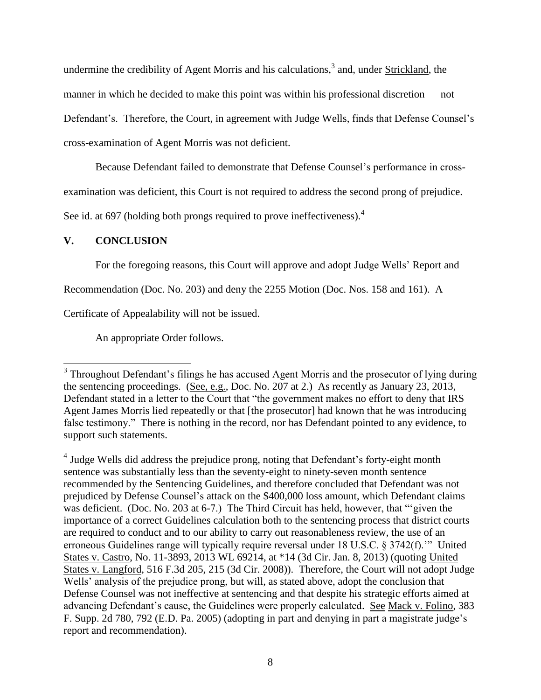undermine the credibility of Agent Morris and his calculations,<sup>3</sup> and, under **Strickland**, the manner in which he decided to make this point was within his professional discretion — not Defendant's. Therefore, the Court, in agreement with Judge Wells, finds that Defense Counsel's cross-examination of Agent Morris was not deficient.

Because Defendant failed to demonstrate that Defense Counsel's performance in cross-

examination was deficient, this Court is not required to address the second prong of prejudice.

See id. at 697 (holding both prongs required to prove ineffectiveness).<sup>4</sup>

## **V. CONCLUSION**

For the foregoing reasons, this Court will approve and adopt Judge Wells' Report and

Recommendation (Doc. No. 203) and deny the 2255 Motion (Doc. Nos. 158 and 161). A

Certificate of Appealability will not be issued.

An appropriate Order follows.

<sup>&</sup>lt;sup>3</sup> Throughout Defendant's filings he has accused Agent Morris and the prosecutor of lying during the sentencing proceedings. (See, e.g., Doc. No. 207 at 2.) As recently as January 23, 2013, Defendant stated in a letter to the Court that "the government makes no effort to deny that IRS Agent James Morris lied repeatedly or that [the prosecutor] had known that he was introducing false testimony." There is nothing in the record, nor has Defendant pointed to any evidence, to support such statements.

<sup>&</sup>lt;sup>4</sup> Judge Wells did address the prejudice prong, noting that Defendant's forty-eight month sentence was substantially less than the seventy-eight to ninety-seven month sentence recommended by the Sentencing Guidelines, and therefore concluded that Defendant was not prejudiced by Defense Counsel's attack on the \$400,000 loss amount, which Defendant claims was deficient. (Doc. No. 203 at 6-7.) The Third Circuit has held, however, that ""given the importance of a correct Guidelines calculation both to the sentencing process that district courts are required to conduct and to our ability to carry out reasonableness review, the use of an erroneous Guidelines range will typically require reversal under 18 U.S.C. § 3742(f).'" United States v. Castro, No. 11-3893, 2013 WL 69214, at \*14 (3d Cir. Jan. 8, 2013) (quoting United States v. Langford, 516 F.3d 205, 215 (3d Cir. 2008)). Therefore, the Court will not adopt Judge Wells' analysis of the prejudice prong, but will, as stated above, adopt the conclusion that Defense Counsel was not ineffective at sentencing and that despite his strategic efforts aimed at advancing Defendant's cause, the Guidelines were properly calculated. See Mack v. Folino, 383 F. Supp. 2d 780, 792 (E.D. Pa. 2005) (adopting in part and denying in part a magistrate judge's report and recommendation).